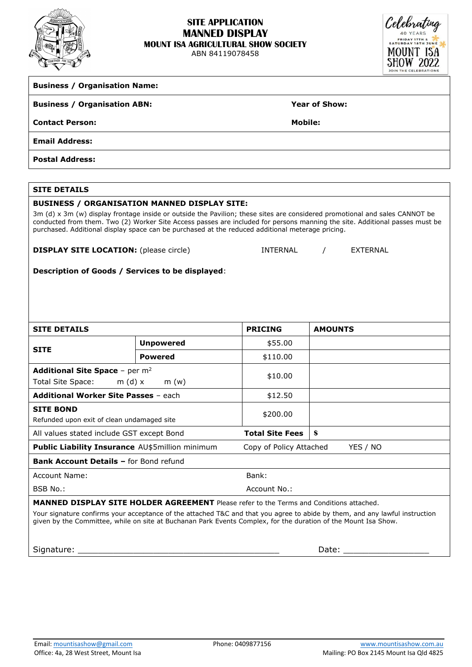

# **SITE APPLICATION MANNED DISPLAY MOUNT ISA AGRICULTURAL SHOW SOCIETY**

ABN 84119078458



### **Business / Organisation Name:**

**Business / Organisation ABN: Year of Show:**

**Contact Person: Mobile:**

**Email Address:**

**Postal Address:**

# **SITE DETAILS**

#### **BUSINESS / ORGANISATION MANNED DISPLAY SITE:**

3m (d) x 3m (w) display frontage inside or outside the Pavilion; these sites are considered promotional and sales CANNOT be conducted from them. Two (2) Worker Site Access passes are included for persons manning the site. Additional passes must be purchased. Additional display space can be purchased at the reduced additional meterage pricing.

**DISPLAY SITE LOCATION:** (please circle) INTERNAL / EXTERNAL

### **Description of Goods / Services to be displayed**:

| <b>SITE DETAILS</b>                                                                                            |                  | <b>PRICING</b>         | <b>AMOUNTS</b>                                                                                                              |  |  |
|----------------------------------------------------------------------------------------------------------------|------------------|------------------------|-----------------------------------------------------------------------------------------------------------------------------|--|--|
| <b>SITE</b>                                                                                                    | <b>Unpowered</b> | \$55.00                |                                                                                                                             |  |  |
|                                                                                                                | <b>Powered</b>   | \$110.00               |                                                                                                                             |  |  |
| <b>Additional Site Space</b> - per $m^2$                                                                       |                  | \$10.00                |                                                                                                                             |  |  |
| Total Site Space:<br>m (d) $x$<br>m(w)                                                                         |                  |                        |                                                                                                                             |  |  |
| <b>Additional Worker Site Passes - each</b>                                                                    |                  | \$12.50                |                                                                                                                             |  |  |
| <b>SITE BOND</b>                                                                                               |                  | \$200.00               |                                                                                                                             |  |  |
| Refunded upon exit of clean undamaged site                                                                     |                  |                        |                                                                                                                             |  |  |
| All values stated include GST except Bond                                                                      |                  | <b>Total Site Fees</b> | \$                                                                                                                          |  |  |
| <b>Public Liability Insurance AU\$5million minimum</b>                                                         |                  |                        | Copy of Policy Attached<br>YES / NO                                                                                         |  |  |
| <b>Bank Account Details - for Bond refund</b>                                                                  |                  |                        |                                                                                                                             |  |  |
| Account Name:                                                                                                  |                  | Bank:                  |                                                                                                                             |  |  |
| BSB No.:                                                                                                       |                  | Account No.:           |                                                                                                                             |  |  |
| <b>MANNED DISPLAY SITE HOLDER AGREEMENT</b> Please refer to the Terms and Conditions attached.                 |                  |                        |                                                                                                                             |  |  |
| given by the Committee, while on site at Buchanan Park Events Complex, for the duration of the Mount Isa Show. |                  |                        | Your signature confirms your acceptance of the attached T&C and that you agree to abide by them, and any lawful instruction |  |  |
|                                                                                                                |                  |                        |                                                                                                                             |  |  |
| Signature:                                                                                                     |                  | Date:                  |                                                                                                                             |  |  |